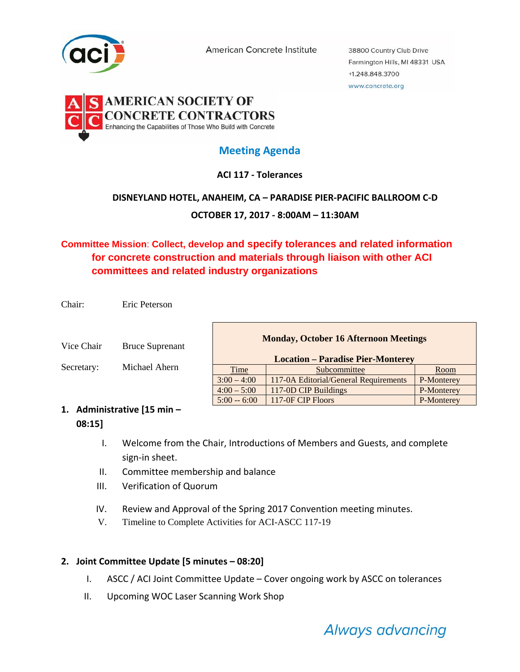

American Concrete Institute

38800 Country Club Drive Farmington Hills, MI 48331 USA +1.248.848.3700 www.concrete.org



# **Meeting Agenda**

### **ACI 117 ‐ Tolerances**

### **DISNEYLAND HOTEL, ANAHEIM, CA – PARADISE PIER‐PACIFIC BALLROOM C‐D**

**OCTOBER 17, 2017 ‐ 8:00AM – 11:30AM**

## **Committee Mission**: **Collect, develop and specify tolerances and related information for concrete construction and materials through liaison with other ACI committees and related industry organizations**

Chair: Eric Peterson

Vice Chair Bruce Suprenant

Secretary: Michael Ahern

| <b>Monday, October 16 Afternoon Meetings</b> |                                       |            |
|----------------------------------------------|---------------------------------------|------------|
| <b>Location – Paradise Pier-Monterey</b>     |                                       |            |
| Time                                         | Subcommittee                          | Room       |
| $3:00 - 4:00$                                | 117-0A Editorial/General Requirements | P-Monterey |
| $4:00 - 5:00$                                | 117-0D CIP Buildings                  | P-Monterey |
| $5:00 - 6:00$                                | 117-0F CIP Floors                     | P-Monterey |

### **1. Administrative [15 min – 08:15]**

- I. Welcome from the Chair, Introductions of Members and Guests, and complete sign‐in sheet.
- II. Committee membership and balance
- III. Verification of Quorum
- IV. Review and Approval of the Spring 2017 Convention meeting minutes.
- V. Timeline to Complete Activities for ACI-ASCC 117-19

### **2. Joint Committee Update [5 minutes – 08:20]**

- I. ASCC / ACI Joint Committee Update Cover ongoing work by ASCC on tolerances
- II. Upcoming WOC Laser Scanning Work Shop

Always advancing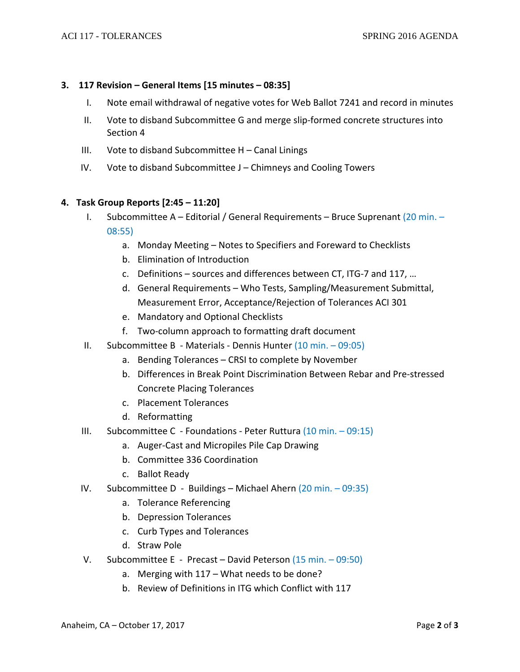#### **3. 117 Revision – General Items [15 minutes – 08:35]**

- I. Note email withdrawal of negative votes for Web Ballot 7241 and record in minutes
- II. Vote to disband Subcommittee G and merge slip‐formed concrete structures into Section 4
- III. Vote to disband Subcommittee H Canal Linings
- IV. Vote to disband Subcommittee J Chimneys and Cooling Towers

#### **4. Task Group Reports [2:45 – 11:20]**

- I. Subcommittee A Editorial / General Requirements Bruce Suprenant (20 min. 08:55)
	- a. Monday Meeting Notes to Specifiers and Foreward to Checklists
	- b. Elimination of Introduction
	- c. Definitions sources and differences between CT, ITG‐7 and 117, …
	- d. General Requirements Who Tests, Sampling/Measurement Submittal, Measurement Error, Acceptance/Rejection of Tolerances ACI 301
	- e. Mandatory and Optional Checklists
	- f. Two‐column approach to formatting draft document
- II. Subcommittee B Materials Dennis Hunter (10 min. 09:05)
	- a. Bending Tolerances CRSI to complete by November
	- b. Differences in Break Point Discrimination Between Rebar and Pre‐stressed Concrete Placing Tolerances
	- c. Placement Tolerances
	- d. Reformatting
- III. Subcommittee C Foundations Peter Ruttura (10 min. 09:15)
	- a. Auger‐Cast and Micropiles Pile Cap Drawing
	- b. Committee 336 Coordination
	- c. Ballot Ready
- IV. Subcommittee D Buildings Michael Ahern  $(20 \text{ min.} 09:35)$ 
	- a. Tolerance Referencing
	- b. Depression Tolerances
	- c. Curb Types and Tolerances
	- d. Straw Pole
- V. Subcommittee E ‐ Precast David Peterson (15 min. 09:50)
	- a. Merging with 117 What needs to be done?
	- b. Review of Definitions in ITG which Conflict with 117